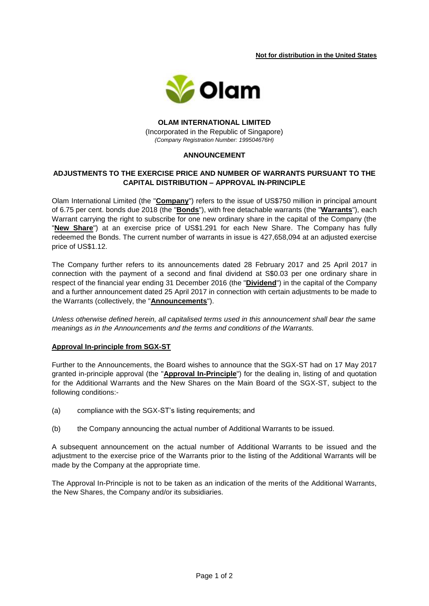**Not for distribution in the United States** 



**OLAM INTERNATIONAL LIMITED** (Incorporated in the Republic of Singapore) *(Company Registration Number: 199504676H)*

## **ANNOUNCEMENT**

# **ADJUSTMENTS TO THE EXERCISE PRICE AND NUMBER OF WARRANTS PURSUANT TO THE CAPITAL DISTRIBUTION – APPROVAL IN-PRINCIPLE**

Olam International Limited (the "**Company**") refers to the issue of US\$750 million in principal amount of 6.75 per cent. bonds due 2018 (the "**Bonds**"), with free detachable warrants (the "**Warrants**"), each Warrant carrying the right to subscribe for one new ordinary share in the capital of the Company (the "**New Share**") at an exercise price of US\$1.291 for each New Share. The Company has fully redeemed the Bonds. The current number of warrants in issue is 427,658,094 at an adjusted exercise price of US\$1.12.

The Company further refers to its announcements dated 28 February 2017 and 25 April 2017 in connection with the payment of a second and final dividend at S\$0.03 per one ordinary share in respect of the financial year ending 31 December 2016 (the "**Dividend**") in the capital of the Company and a further announcement dated 25 April 2017 in connection with certain adjustments to be made to the Warrants (collectively, the "**Announcements**").

*Unless otherwise defined herein, all capitalised terms used in this announcement shall bear the same meanings as in the Announcements and the terms and conditions of the Warrants.*

#### **Approval In-principle from SGX-ST**

Further to the Announcements, the Board wishes to announce that the SGX-ST had on 17 May 2017 granted in-principle approval (the "**Approval In-Principle**") for the dealing in, listing of and quotation for the Additional Warrants and the New Shares on the Main Board of the SGX-ST, subject to the following conditions:-

- (a) compliance with the SGX-ST's listing requirements; and
- (b) the Company announcing the actual number of Additional Warrants to be issued.

A subsequent announcement on the actual number of Additional Warrants to be issued and the adjustment to the exercise price of the Warrants prior to the listing of the Additional Warrants will be made by the Company at the appropriate time.

The Approval In-Principle is not to be taken as an indication of the merits of the Additional Warrants, the New Shares, the Company and/or its subsidiaries.